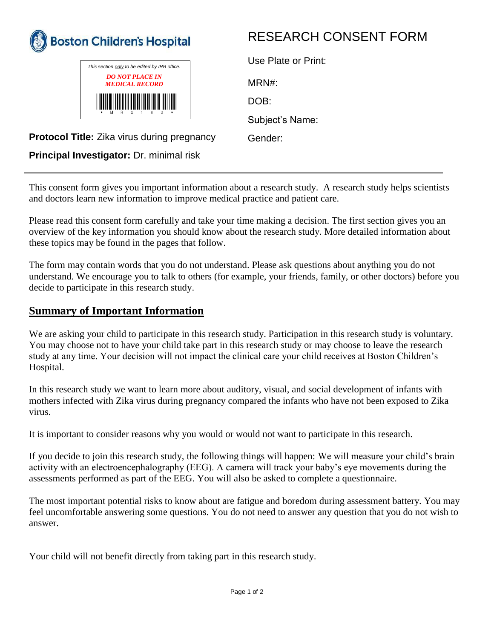



## RESEARCH CONSENT FORM

| Use Plate or Print: |
|---------------------|
| MRN#:               |
| DOB:                |
| Subject's Name:     |
| Gender:             |

**Protocol Title:** Zika virus during pregnancy

**Principal Investigator:** Dr. minimal risk

This consent form gives you important information about a research study. A research study helps scientists and doctors learn new information to improve medical practice and patient care.

Please read this consent form carefully and take your time making a decision. The first section gives you an overview of the key information you should know about the research study. More detailed information about these topics may be found in the pages that follow.

The form may contain words that you do not understand. Please ask questions about anything you do not understand. We encourage you to talk to others (for example, your friends, family, or other doctors) before you decide to participate in this research study.

## **Summary of Important Information**

We are asking your child to participate in this research study. Participation in this research study is voluntary. You may choose not to have your child take part in this research study or may choose to leave the research study at any time. Your decision will not impact the clinical care your child receives at Boston Children's Hospital.

In this research study we want to learn more about auditory, visual, and social development of infants with mothers infected with Zika virus during pregnancy compared the infants who have not been exposed to Zika virus.

It is important to consider reasons why you would or would not want to participate in this research.

If you decide to join this research study, the following things will happen: We will measure your child's brain activity with an electroencephalography (EEG). A camera will track your baby's eye movements during the assessments performed as part of the EEG. You will also be asked to complete a questionnaire.

The most important potential risks to know about are fatigue and boredom during assessment battery. You may feel uncomfortable answering some questions. You do not need to answer any question that you do not wish to answer.

Your child will not benefit directly from taking part in this research study.